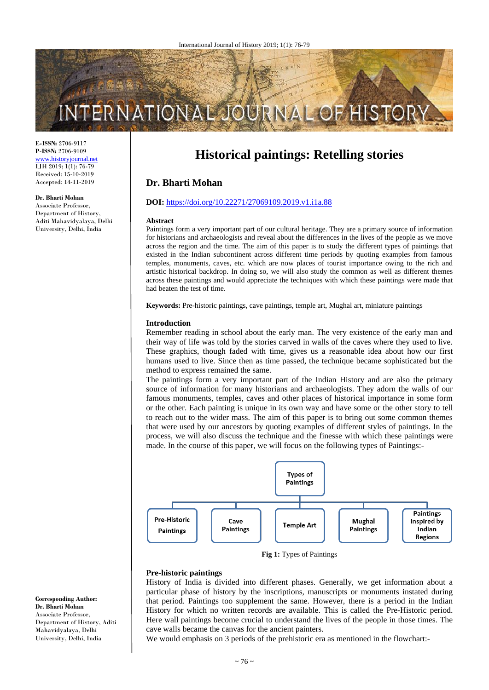# INTERNATIONAL **HISTO**

**E-ISSN:** 2706-9117 **P-ISSN:** 2706-9109 [www.historyjournal.net](http://www.historyjournal.net/) IJH 2019; 1(1): 76-79 Received: 15-10-2019 Accepted: 14-11-2019

#### **Dr. Bharti Mohan**

Associate Professor, Department of History, Aditi Mahavidyalaya, Delhi University, Delhi, India

# **Historical paintings: Retelling stories**

# **Dr. Bharti Mohan**

#### **DOI:** <https://doi.org/10.22271/27069109.2019.v1.i1a.88>

#### **Abstract**

Paintings form a very important part of our cultural heritage. They are a primary source of information for historians and archaeologists and reveal about the differences in the lives of the people as we move across the region and the time. The aim of this paper is to study the different types of paintings that existed in the Indian subcontinent across different time periods by quoting examples from famous temples, monuments, caves, etc. which are now places of tourist importance owing to the rich and artistic historical backdrop. In doing so, we will also study the common as well as different themes across these paintings and would appreciate the techniques with which these paintings were made that had beaten the test of time.

**Keywords:** Pre-historic paintings, cave paintings, temple art, Mughal art, miniature paintings

#### **Introduction**

Remember reading in school about the early man. The very existence of the early man and their way of life was told by the stories carved in walls of the caves where they used to live. These graphics, though faded with time, gives us a reasonable idea about how our first humans used to live. Since then as time passed, the technique became sophisticated but the method to express remained the same.

The paintings form a very important part of the Indian History and are also the primary source of information for many historians and archaeologists. They adorn the walls of our famous monuments, temples, caves and other places of historical importance in some form or the other. Each painting is unique in its own way and have some or the other story to tell to reach out to the wider mass. The aim of this paper is to bring out some common themes that were used by our ancestors by quoting examples of different styles of paintings. In the process, we will also discuss the technique and the finesse with which these paintings were made. In the course of this paper, we will focus on the following types of Paintings:-



**Fig 1:** Types of Paintings

#### **Pre-historic paintings**

History of India is divided into different phases. Generally, we get information about a particular phase of history by the inscriptions, manuscripts or monuments instated during that period. Paintings too supplement the same. However, there is a period in the Indian History for which no written records are available. This is called the Pre-Historic period. Here wall paintings become crucial to understand the lives of the people in those times. The cave walls became the canvas for the ancient painters.

We would emphasis on 3 periods of the prehistoric era as mentioned in the flowchart:-

**Corresponding Author: Dr. Bharti Mohan** Associate Professor, Department of History, Aditi Mahavidyalaya, Delhi University, Delhi, India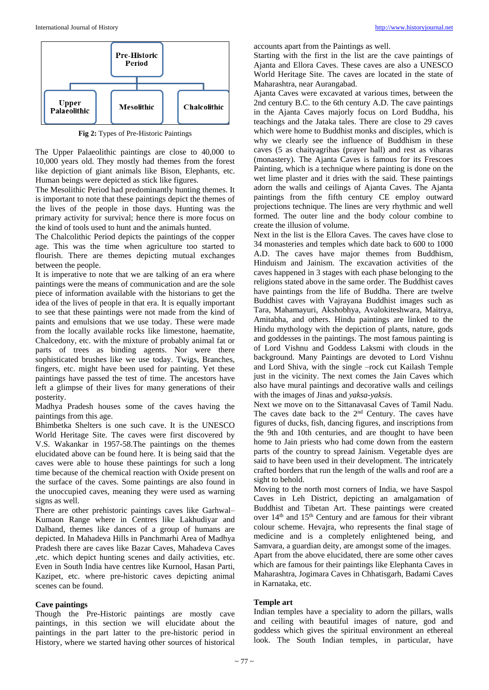

**Fig 2:** Types of Pre-Historic Paintings

The Upper Palaeolithic paintings are close to 40,000 to 10,000 years old. They mostly had themes from the forest like depiction of giant animals like Bison, Elephants, etc. Human beings were depicted as stick like figures.

The Mesolithic Period had predominantly hunting themes. It is important to note that these paintings depict the themes of the lives of the people in those days. Hunting was the primary activity for survival; hence there is more focus on the kind of tools used to hunt and the animals hunted.

The Chalcolithic Period depicts the paintings of the copper age. This was the time when agriculture too started to flourish. There are themes depicting mutual exchanges between the people.

It is imperative to note that we are talking of an era where paintings were the means of communication and are the sole piece of information available with the historians to get the idea of the lives of people in that era. It is equally important to see that these paintings were not made from the kind of paints and emulsions that we use today. These were made from the locally available rocks like limestone, haematite, Chalcedony, etc. with the mixture of probably animal fat or parts of trees as binding agents. Nor were there sophisticated brushes like we use today. Twigs, Branches, fingers, etc. might have been used for painting. Yet these paintings have passed the test of time. The ancestors have left a glimpse of their lives for many generations of their posterity.

Madhya Pradesh houses some of the caves having the paintings from this age.

Bhimbetka Shelters is one such cave. It is the UNESCO World Heritage Site. The caves were first discovered by V.S. Wakankar in 1957-58.The paintings on the themes elucidated above can be found here. It is being said that the caves were able to house these paintings for such a long time because of the chemical reaction with Oxide present on the surface of the caves. Some paintings are also found in the unoccupied caves, meaning they were used as warning signs as well.

There are other prehistoric paintings caves like Garhwal– Kumaon Range where in Centres like Lakhudiyar and Dalband, themes like dances of a group of humans are depicted. In Mahadeva Hills in Panchmarhi Area of Madhya Pradesh there are caves like Bazar Caves, Mahadeva Caves ,etc. which depict hunting scenes and daily activities, etc. Even in South India have centres like Kurnool, Hasan Parti, Kazipet, etc. where pre-historic caves depicting animal scenes can be found.

#### **Cave paintings**

Though the Pre-Historic paintings are mostly cave paintings, in this section we will elucidate about the paintings in the part latter to the pre-historic period in History, where we started having other sources of historical

accounts apart from the Paintings as well.

Starting with the first in the list are the cave paintings of Ajanta and Ellora Caves. These caves are also a UNESCO World Heritage Site. The caves are located in the state of Maharashtra, near Aurangabad.

Ajanta Caves were excavated at various times, between the 2nd century B.C. to the 6th century A.D. The cave paintings in the Ajanta Caves majorly focus on Lord Buddha, his teachings and the Jataka tales. There are close to 29 caves which were home to Buddhist monks and disciples, which is why we clearly see the influence of Buddhism in these caves (5 as chaityagrihas (prayer hall) and rest as viharas (monastery). The Ajanta Caves is famous for its Frescoes Painting, which is a technique where painting is done on the wet lime plaster and it dries with the said. These paintings adorn the walls and ceilings of Ajanta Caves. The Ajanta paintings from the fifth century CE employ outward projections technique. The lines are very rhythmic and well formed. The outer line and the body colour combine to create the illusion of volume.

Next in the list is the Ellora Caves. The caves have close to 34 monasteries and temples which date back to 600 to 1000 A.D. The caves have major themes from Buddhism, Hinduism and Jainism. The excavation activities of the caves happened in 3 stages with each phase belonging to the religions stated above in the same order. The Buddhist caves have paintings from the life of Buddha. There are twelve Buddhist caves with Vajrayana Buddhist images such as Tara, Mahamayuri, Akshobhya, Avalokiteshwara, Maitrya, Amitabha, and others. Hindu paintings are linked to the Hindu mythology with the depiction of plants, nature, gods and goddesses in the paintings. The most famous painting is of Lord Vishnu and Goddess Laksmi with clouds in the background. Many Paintings are devoted to Lord Vishnu and Lord Shiva, with the single –rock cut Kailash Temple just in the vicinity. The next comes the Jain Caves which also have mural paintings and decorative walls and ceilings with the images of Jinas and *yaksa-yaksi*s.

Next we move on to the Sittanavasal Caves of Tamil Nadu. The caves date back to the 2nd Century. The caves have figures of ducks, fish, dancing figures, and inscriptions from the 9th and 10th centuries, and are thought to have been home to Jain priests who had come down from the eastern parts of the country to spread Jainism. Vegetable dyes are said to have been used in their development. The intricately crafted borders that run the length of the walls and roof are a sight to behold.

Moving to the north most corners of India, we have Saspol Caves in Leh District, depicting an amalgamation of Buddhist and Tibetan Art. These paintings were created over  $14<sup>th</sup>$  and  $15<sup>th</sup>$  Century and are famous for their vibrant colour scheme. Hevajra, who represents the final stage of medicine and is a completely enlightened being, and Samvara, a guardian deity, are amongst some of the images. Apart from the above elucidated, there are some other caves which are famous for their paintings like Elephanta Caves in Maharashtra, Jogimara Caves in Chhatisgarh, Badami Caves in Karnataka, etc.

#### **Temple art**

Indian temples have a speciality to adorn the pillars, walls and ceiling with beautiful images of nature, god and goddess which gives the spiritual environment an ethereal look. The South Indian temples, in particular, have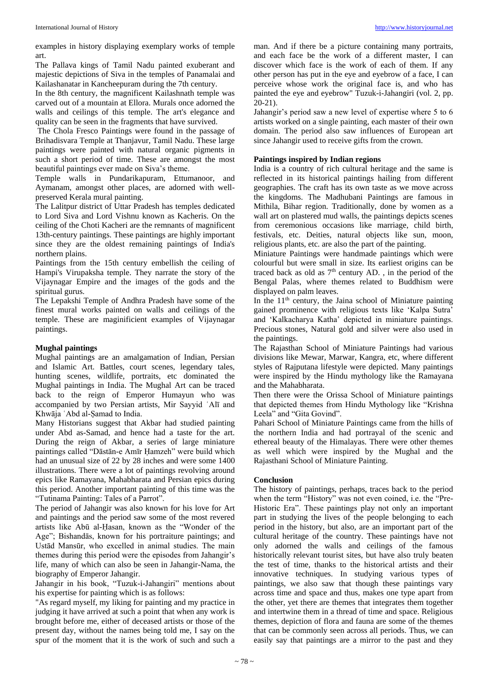examples in history displaying exemplary works of temple art.

The Pallava kings of Tamil Nadu painted exuberant and majestic depictions of Siva in the temples of Panamalai and Kailashanatar in Kancheepuram during the 7th century.

In the 8th century, the magnificent Kailashnath temple was carved out of a mountain at Ellora. Murals once adorned the walls and ceilings of this temple. The art's elegance and quality can be seen in the fragments that have survived.

The Chola Fresco Paintings were found in the passage of Brihadisvara Temple at Thanjavur, Tamil Nadu. These large paintings were painted with natural organic pigments in such a short period of time. These are amongst the most beautiful paintings ever made on Siva's theme.

Temple walls in Pundarikapuram, Ettumanoor, and Aymanam, amongst other places, are adorned with wellpreserved Kerala mural painting.

The Lalitpur district of Uttar Pradesh has temples dedicated to Lord Siva and Lord Vishnu known as Kacheris. On the ceiling of the Choti Kacheri are the remnants of magnificent 13th-century paintings. These paintings are highly important since they are the oldest remaining paintings of India's northern plains.

Paintings from the 15th century embellish the ceiling of Hampi's Virupaksha temple. They narrate the story of the Vijaynagar Empire and the images of the gods and the spiritual gurus.

The Lepakshi Temple of Andhra Pradesh have some of the finest mural works painted on walls and ceilings of the temple. These are maginificient examples of Vijaynagar paintings.

# **Mughal paintings**

Mughal paintings are an amalgamation of Indian, Persian and Islamic Art. Battles, court scenes, legendary tales, hunting scenes, wildlife, portraits, etc dominated the Mughal paintings in India. The Mughal Art can be traced back to the reign of Emperor Humayun who was accompanied by two Persian artists, Mir Sayyid ʿAlī and Khwāja ʿAbd al-Ṣamad to India.

Many Historians suggest that Akbar had studied painting under Abd as-Samad, and hence had a taste for the art. During the reign of Akbar, a series of large miniature paintings called "Dāstān-e Amīr Ḥamzeh" were build which had an unusual size of 22 by 28 inches and were some 1400 illustrations. There were a lot of paintings revolving around epics like Ramayana, Mahabharata and Persian epics during this period. Another important painting of this time was the "Tutinama Painting: Tales of a Parrot".

The period of Jahangir was also known for his love for Art and paintings and the period saw some of the most revered artists like Abū al-Ḥasan, known as the "Wonder of the Age"; Bishandās, known for his portraiture paintings; and Ustād Mansūr, who excelled in animal studies. The main themes during this period were the episodes from Jahangir's life, many of which can also be seen in Jahangir-Nama, the biography of Emperor Jahangir.

Jahangir in his book, "Tuzuk-i-Jahangiri" mentions about his expertise for painting which is as follows:

"As regard myself, my liking for painting and my practice in judging it have arrived at such a point that when any work is brought before me, either of deceased artists or those of the present day, without the names being told me, I say on the spur of the moment that it is the work of such and such a

man. And if there be a picture containing many portraits, and each face be the work of a different master, I can discover which face is the work of each of them. If any other person has put in the eye and eyebrow of a face, I can perceive whose work the original face is, and who has painted the eye and eyebrow" Tuzuk-i-Jahangiri (vol. 2, pp. 20-21).

Jahangir's period saw a new level of expertise where 5 to 6 artists worked on a single painting, each master of their own domain. The period also saw influences of European art since Jahangir used to receive gifts from the crown.

# **Paintings inspired by Indian regions**

India is a country of rich cultural heritage and the same is reflected in its historical paintings hailing from different geographies. The craft has its own taste as we move across the kingdoms. The Madhubani Paintings are famous in Mithila, Bihar region. Traditionally, done by women as a wall art on plastered mud walls, the paintings depicts scenes from ceremonious occasions like marriage, child birth, festivals, etc. Deities, natural objects like sun, moon, religious plants, etc. are also the part of the painting.

Miniature Paintings were handmade paintings which were colourful but were small in size. Its earliest origins can be traced back as old as  $7<sup>th</sup>$  century AD., in the period of the Bengal Palas, where themes related to Buddhism were displayed on palm leaves.

In the  $11<sup>th</sup>$  century, the Jaina school of Miniature painting gained prominence with religious texts like 'Kalpa Sutra' and 'Kalkacharya Katha' depicted in miniature paintings. Precious stones, Natural gold and silver were also used in the paintings.

The Rajasthan School of Miniature Paintings had various divisions like Mewar, Marwar, Kangra, etc, where different styles of Rajputana lifestyle were depicted. Many paintings were inspired by the Hindu mythology like the Ramayana and the Mahabharata.

Then there were the Orissa School of Miniature paintings that depicted themes from Hindu Mythology like "Krishna Leela" and "Gita Govind".

Pahari School of Miniature Paintings came from the hills of the northern India and had portrayal of the scenic and ethereal beauty of the Himalayas. There were other themes as well which were inspired by the Mughal and the Rajasthani School of Miniature Painting.

# **Conclusion**

The history of paintings, perhaps, traces back to the period when the term "History" was not even coined, i.e. the "Pre-Historic Era". These paintings play not only an important part in studying the lives of the people belonging to each period in the history, but also, are an important part of the cultural heritage of the country. These paintings have not only adorned the walls and ceilings of the famous historically relevant tourist sites, but have also truly beaten the test of time, thanks to the historical artists and their innovative techniques. In studying various types of paintings, we also saw that though these paintings vary across time and space and thus, makes one type apart from the other, yet there are themes that integrates them together and intertwine them in a thread of time and space. Religious themes, depiction of flora and fauna are some of the themes that can be commonly seen across all periods. Thus, we can easily say that paintings are a mirror to the past and they